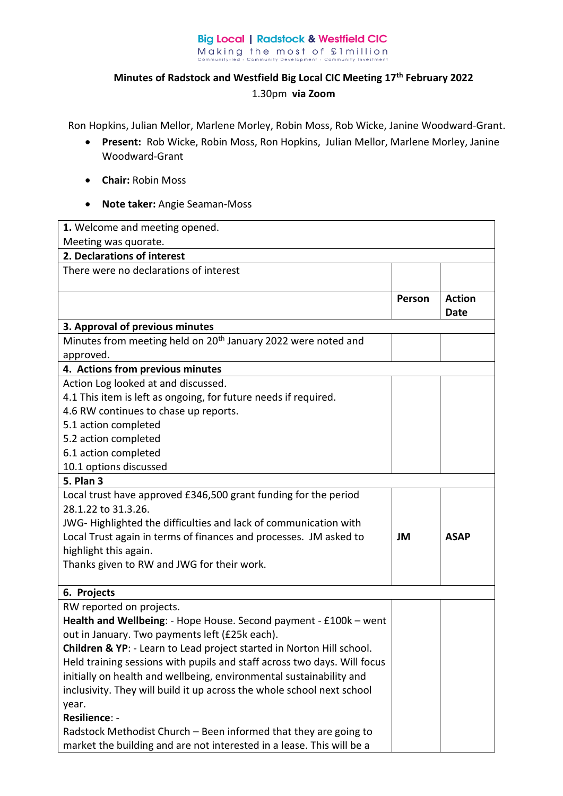## **Big Local | Radstock & Westfield CIC** Making the most of £1 million<br>
community-led - Community Development - Community Investment

## **Minutes of Radstock and Westfield Big Local CIC Meeting 17th February 2022**  1.30pm **via Zoom**

Ron Hopkins, Julian Mellor, Marlene Morley, Robin Moss, Rob Wicke, Janine Woodward-Grant.

- **Present:** Rob Wicke, Robin Moss, Ron Hopkins, Julian Mellor, Marlene Morley, Janine Woodward-Grant
- **Chair:** Robin Moss
- **Note taker:** Angie Seaman-Moss

| 1. Welcome and meeting opened.                                                                |        |               |  |
|-----------------------------------------------------------------------------------------------|--------|---------------|--|
| Meeting was quorate.                                                                          |        |               |  |
| 2. Declarations of interest                                                                   |        |               |  |
| There were no declarations of interest                                                        |        |               |  |
|                                                                                               |        |               |  |
|                                                                                               | Person | <b>Action</b> |  |
|                                                                                               |        | <b>Date</b>   |  |
| 3. Approval of previous minutes                                                               |        |               |  |
| Minutes from meeting held on 20 <sup>th</sup> January 2022 were noted and                     |        |               |  |
| approved.                                                                                     |        |               |  |
| 4. Actions from previous minutes                                                              |        |               |  |
| Action Log looked at and discussed.                                                           |        |               |  |
| 4.1 This item is left as ongoing, for future needs if required.                               |        |               |  |
| 4.6 RW continues to chase up reports.                                                         |        |               |  |
| 5.1 action completed                                                                          |        |               |  |
| 5.2 action completed                                                                          |        |               |  |
| 6.1 action completed                                                                          |        |               |  |
| 10.1 options discussed                                                                        |        |               |  |
| <b>5. Plan 3</b>                                                                              |        |               |  |
| Local trust have approved £346,500 grant funding for the period                               |        |               |  |
| 28.1.22 to 31.3.26.                                                                           |        |               |  |
| JWG-Highlighted the difficulties and lack of communication with                               |        |               |  |
| Local Trust again in terms of finances and processes. JM asked to                             | JM     | <b>ASAP</b>   |  |
| highlight this again.                                                                         |        |               |  |
| Thanks given to RW and JWG for their work.                                                    |        |               |  |
|                                                                                               |        |               |  |
| 6. Projects                                                                                   |        |               |  |
| RW reported on projects.<br>Health and Wellbeing: - Hope House. Second payment - £100k - went |        |               |  |
| out in January. Two payments left (£25k each).                                                |        |               |  |
| Children & YP: - Learn to Lead project started in Norton Hill school.                         |        |               |  |
| Held training sessions with pupils and staff across two days. Will focus                      |        |               |  |
| initially on health and wellbeing, environmental sustainability and                           |        |               |  |
| inclusivity. They will build it up across the whole school next school                        |        |               |  |
| year.                                                                                         |        |               |  |
| Resilience: -                                                                                 |        |               |  |
| Radstock Methodist Church - Been informed that they are going to                              |        |               |  |
| market the building and are not interested in a lease. This will be a                         |        |               |  |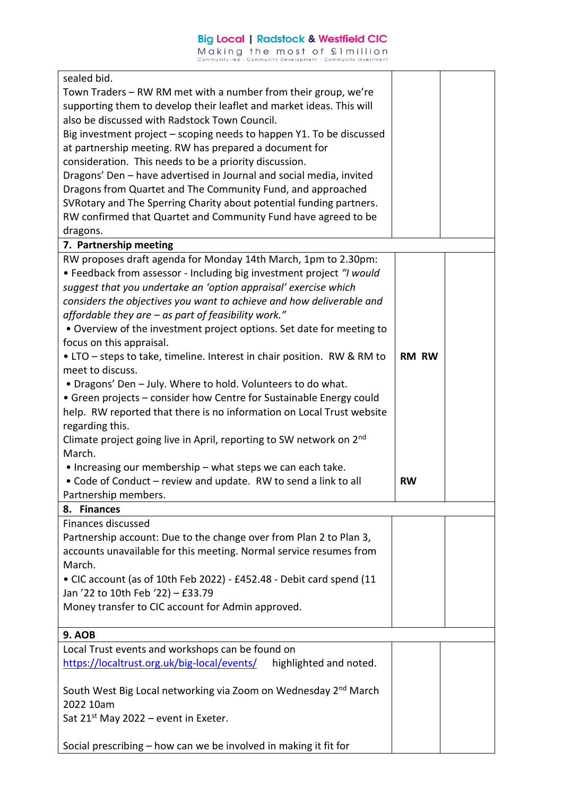| sealed bid.                                                                     |              |  |
|---------------------------------------------------------------------------------|--------------|--|
| Town Traders - RW RM met with a number from their group, we're                  |              |  |
| supporting them to develop their leaflet and market ideas. This will            |              |  |
| also be discussed with Radstock Town Council.                                   |              |  |
| Big investment project - scoping needs to happen Y1. To be discussed            |              |  |
| at partnership meeting. RW has prepared a document for                          |              |  |
| consideration. This needs to be a priority discussion.                          |              |  |
| Dragons' Den - have advertised in Journal and social media, invited             |              |  |
| Dragons from Quartet and The Community Fund, and approached                     |              |  |
| SVRotary and The Sperring Charity about potential funding partners.             |              |  |
| RW confirmed that Quartet and Community Fund have agreed to be                  |              |  |
| dragons.                                                                        |              |  |
| 7. Partnership meeting                                                          |              |  |
|                                                                                 |              |  |
| RW proposes draft agenda for Monday 14th March, 1pm to 2.30pm:                  |              |  |
| • Feedback from assessor - Including big investment project "I would            |              |  |
| suggest that you undertake an 'option appraisal' exercise which                 |              |  |
| considers the objectives you want to achieve and how deliverable and            |              |  |
| affordable they are - as part of feasibility work."                             |              |  |
| . Overview of the investment project options. Set date for meeting to           |              |  |
| focus on this appraisal.                                                        |              |  |
| • LTO - steps to take, timeline. Interest in chair position. RW & RM to         | <b>RM RW</b> |  |
| meet to discuss.                                                                |              |  |
| • Dragons' Den - July. Where to hold. Volunteers to do what.                    |              |  |
| • Green projects - consider how Centre for Sustainable Energy could             |              |  |
| help. RW reported that there is no information on Local Trust website           |              |  |
| regarding this.                                                                 |              |  |
| Climate project going live in April, reporting to SW network on 2 <sup>nd</sup> |              |  |
| March.                                                                          |              |  |
| . Increasing our membership - what steps we can each take.                      |              |  |
| • Code of Conduct - review and update. RW to send a link to all                 | <b>RW</b>    |  |
| Partnership members.                                                            |              |  |
| 8. Finances                                                                     |              |  |
| <b>Finances discussed</b>                                                       |              |  |
| Partnership account: Due to the change over from Plan 2 to Plan 3,              |              |  |
| accounts unavailable for this meeting. Normal service resumes from              |              |  |
| March.                                                                          |              |  |
| • CIC account (as of 10th Feb 2022) - £452.48 - Debit card spend (11            |              |  |
| Jan '22 to 10th Feb '22) - £33.79                                               |              |  |
| Money transfer to CIC account for Admin approved.                               |              |  |
|                                                                                 |              |  |
| <b>9. AOB</b>                                                                   |              |  |
| Local Trust events and workshops can be found on                                |              |  |
| https://localtrust.org.uk/big-local/events/<br>highlighted and noted.           |              |  |
|                                                                                 |              |  |
| South West Big Local networking via Zoom on Wednesday 2 <sup>nd</sup> March     |              |  |
| 2022 10am                                                                       |              |  |
| Sat 21 <sup>st</sup> May 2022 - event in Exeter.                                |              |  |
|                                                                                 |              |  |
| Social prescribing - how can we be involved in making it fit for                |              |  |